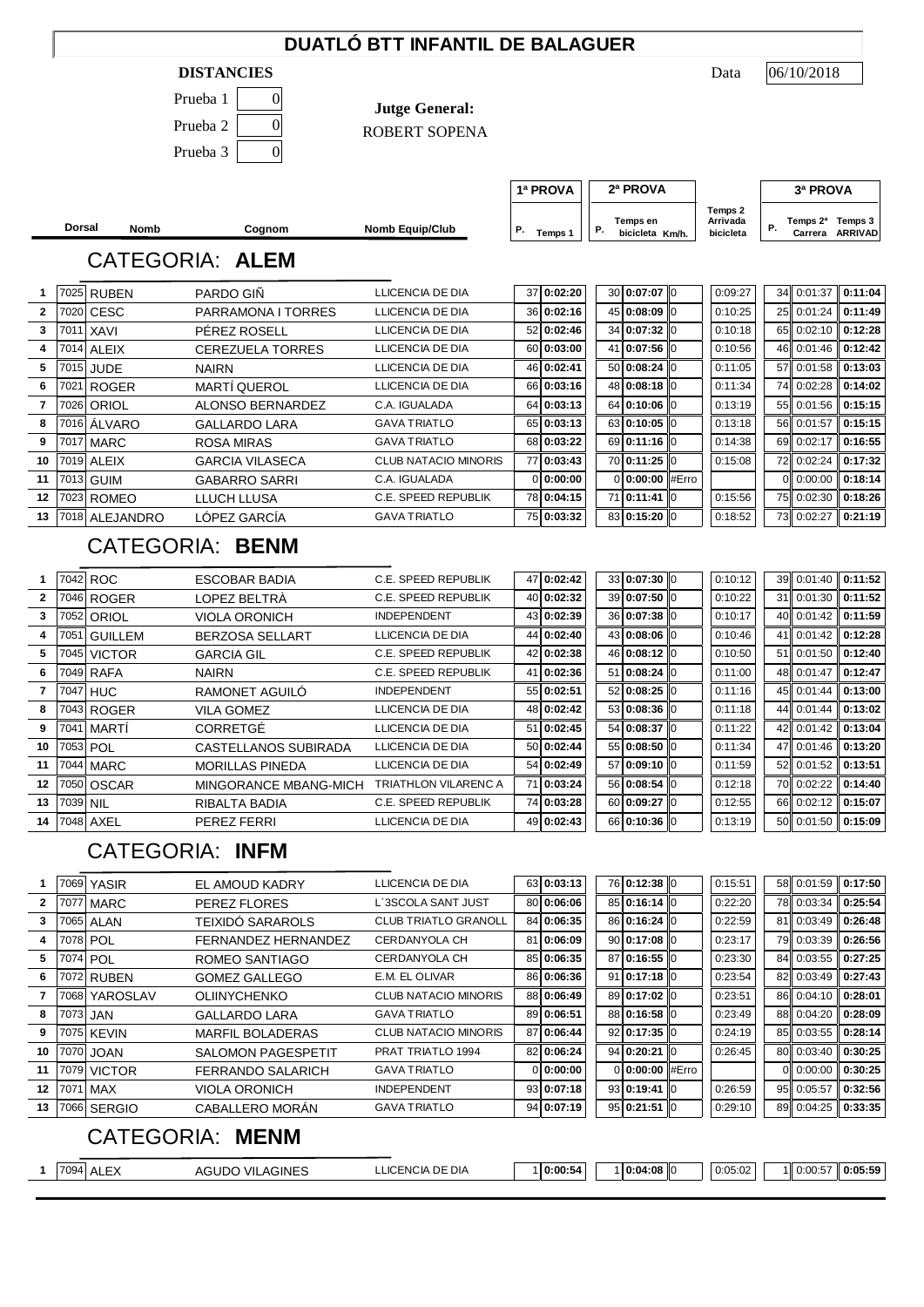## **DUATLÓ BTT INFANTIL DE BALAGUER**

### **DISTANCIES** Data

| Prueba 1 |  |
|----------|--|
| Prueba 2 |  |
| Prueba 3 |  |

**Jutge General:**

ROBERT SOPENA

|                 | <b>Dorsal</b>        | Nomb           | Cognom                                         | <b>Nomb Equip/Club</b>                            | Р. | Temps 1                  | Ρ. |          | Temps en<br>bicicleta Km/h.  |          | Arrivada<br>bicicleta | Ρ. | Temps 2 <sup>a</sup> Temps 3<br>Carrera ARRIVAD |                               |
|-----------------|----------------------|----------------|------------------------------------------------|---------------------------------------------------|----|--------------------------|----|----------|------------------------------|----------|-----------------------|----|-------------------------------------------------|-------------------------------|
|                 |                      |                | <b>CATEGORIA: ALEM</b>                         |                                                   |    |                          |    |          |                              |          |                       |    |                                                 |                               |
| 1               |                      | 7025 RUBEN     | <b>PARDO GIÑ</b>                               | LLICENCIA DE DIA                                  |    | 37 0:02:20               |    |          | 30 0:07:07 0                 |          | 0:09:27               | 34 | 0:01:37                                         | 0:11:04                       |
| 2               | 7020                 | <b>CESC</b>    | PARRAMONA I TORRES                             | LLICENCIA DE DIA                                  |    | 36 0:02:16               |    | 45       | 0:08:09                      | 0        | 0:10:25               | 25 | 0:01:24                                         | 0:11:49                       |
| 3               | 7011                 | <b>XAVI</b>    | PÉREZ ROSELL                                   | LLICENCIA DE DIA                                  |    | 52 0:02:46               |    | 34       | 0:07:32                      | 0        | 0:10:18               | 65 | 0:02:10                                         | 0:12:28                       |
| 4               | 7014                 | <b>ALEIX</b>   | <b>CEREZUELA TORRES</b>                        | LLICENCIA DE DIA                                  | 60 | 0:03:00                  | 41 |          | 0:07:56                      | 0        | 0:10:56               | 46 | 0:01:46                                         | 0:12:42                       |
| 5               |                      | 7015 JUDE      | <b>NAIRN</b>                                   | LLICENCIA DE DIA                                  |    | 46 0:02:41               |    | 50       | 0:08:24                      | 0        | 0:11:05               | 57 | 0:01:58                                         | 0:13:03                       |
| 6               | 7021                 | <b>ROGER</b>   | <b>MARTÍ QUEROL</b>                            | LLICENCIA DE DIA                                  |    | 66 0:03:16               |    | 48       | 0:08:18                      | 0        | 0:11:34               | 74 | 0:02:28                                         | 0:14:02                       |
| 7               | 7026                 | ORIOL          | <b>ALONSO BERNARDEZ</b>                        | C.A. IGUALADA                                     | 64 | 0:03:13                  |    | 64       | 0:10:06                      | 0        | 0:13:19               | 55 | 0:01:56                                         | 0:15:15                       |
| 8               | 7016                 | ÁLVARO         | <b>GALLARDO LARA</b>                           | <b>GAVA TRIATLO</b>                               | 65 | 0:03:13                  |    | 63       | 0:10:05                      | 0        | 0:13:18               | 56 | 0:01:57                                         | 0:15:15                       |
| 9               | 7017                 | <b>MARC</b>    | <b>ROSA MIRAS</b>                              | <b>GAVA TRIATLO</b>                               | 68 | 0:03:22                  |    | 69       | 0:11:16                      | 0        | 0:14:38               | 69 | 0:02:17                                         | 0:16:55                       |
| 10              | 7019                 | <b>ALEIX</b>   | <b>GARCIA VILASECA</b>                         | <b>CLUB NATACIO MINORIS</b>                       | 77 | 0:03:43                  |    |          | 70 0:11:25                   | $\Omega$ | 0:15:08               | 72 | 0:02:24                                         | 0:17:32                       |
| 11              | 7013                 | <b>GUIM</b>    | <b>GABARRO SARRI</b>                           | C.A. IGUALADA                                     |    | 0 0:00:00                |    | $\Omega$ | 0:00:00                      | #Erro    |                       | 0  | 0:00:00                                         | 0:18:14                       |
| 12              | 7023                 | <b>ROMEO</b>   | LLUCH LLUSA                                    | C.E. SPEED REPUBLIK                               |    | 78 0:04:15               | 71 |          | 0:11:41                      | 0        | 0:15:56               | 75 | 0:02:30                                         | 0:18:26                       |
| 13              | 7018                 | ALEJANDRO      | LÓPEZ GARCÍA                                   | <b>GAVA TRIATLO</b>                               |    | 75 0:03:32               |    | 83       | 0:15:20                      | Iо       | 0:18:52               | 73 | 0:02:27                                         | 0:21:19                       |
|                 |                      |                | <b>CATEGORIA: BENM</b>                         |                                                   |    |                          |    |          |                              |          |                       |    |                                                 |                               |
| 1               |                      | 7042 ROC       | <b>ESCOBAR BADIA</b>                           | C.E. SPEED REPUBLIK                               | 47 | 0:02:42                  |    |          | 33 0:07:30 0                 |          | 0:10:12               | 39 | 0:01:40                                         | 0:11:52                       |
| $\mathbf{2}$    | 7046                 | <b>ROGER</b>   | LOPEZ BELTRÀ                                   | <b>C.E. SPEED REPUBLIK</b>                        | 40 | 0:02:32                  |    | 39       | 0:07:50                      | 0        | 0:10:22               | 31 | 0:01:30                                         | 0:11:52                       |
| 3               | 7052                 | ORIOL          | <b>VIOLA ORONICH</b>                           | <b>INDEPENDENT</b>                                | 43 | 0:02:39                  |    | 36       | 0:07:38                      | 0        | 0:10:17               | 40 | 0:01:42                                         | 0:11:59                       |
| 4               | 7051                 | <b>GUILLEM</b> | <b>BERZOSA SELLART</b>                         | LLICENCIA DE DIA                                  | 44 | 0:02:40                  |    | 43       | 0:08:06                      | 0        | 0:10:46               | 41 | 0:01:42                                         | 0:12:28                       |
| 5               | 7045                 | <b>VICTOR</b>  | <b>GARCIA GIL</b>                              | C.E. SPEED REPUBLIK                               | 42 | 0:02:38                  |    | 46       | 0:08:12                      | 0        | 0:10:50               | 51 | 0:01:50                                         | 0:12:40                       |
| 6               | 7049                 | <b>RAFA</b>    | <b>NAIRN</b>                                   | <b>C.E. SPEED REPUBLIK</b>                        | 41 | 0:02:36                  | 51 |          | 0:08:24                      | 0        | 0:11:00               | 48 | 0:01:47                                         | 0:12:47                       |
| 7               | 7047                 | <b>HUC</b>     | RAMONET AGUILO                                 | <b>INDEPENDENT</b>                                | 55 | 0:02:51                  |    | 52       | 0:08:25                      | 0        | 0:11:16               | 45 | 0:01:44                                         | 0:13:00                       |
| 8               | 7043                 | <b>ROGER</b>   | <b>VILA GOMEZ</b>                              | LLICENCIA DE DIA                                  | 48 | 0:02:42                  |    | 53       | 0:08:36                      | 0        | 0:11:18               | 44 | 0:01:44                                         | 0:13:02                       |
| 9               | 7041                 | MARTI          | CORRETGÉ                                       | LLICENCIA DE DIA                                  | 51 | 0:02:45                  |    | 54       | 0:08:37                      | 0        | 0:11:22               | 42 | 0:01:42                                         | 0:13:04                       |
| 10              | 7053                 | POL            | CASTELLANOS SUBIRADA                           | LLICENCIA DE DIA                                  | 50 | 0:02:44                  |    | 55       | 0:08:50                      | 0        | 0:11:34               | 47 | 0:01:46                                         | 0:13:20                       |
| 11              | 7044                 | <b>MARC</b>    | <b>MORILLAS PINEDA</b>                         | LLICENCIA DE DIA                                  | 54 | 0:02:49                  |    | 57       | 0:09:10                      | 0        | 0:11:59               | 52 | 0:01:52                                         | 0:13:51                       |
| 12              | 7050                 | <b>OSCAR</b>   | MINGORANCE MBANG-MICH                          | <b>TRIATHLON VILARENC A</b>                       | 71 | 0:03:24                  |    | 56       | 0:08:54                      | 0        | 0:12:18               | 70 | 0:02:22                                         | 0:14:40                       |
| 13              | 7039                 | <b>NIL</b>     | RIBALTA BADIA                                  | C.E. SPEED REPUBLIK                               | 74 | 0:03:28                  |    | 60       | 0:09:27                      | l0       | 0:12:55               | 66 | 0:02:12                                         | 0:15:07                       |
| 14              | 7048                 | AXEL           | PEREZ FERRI                                    | LLICENCIA DE DIA                                  | 49 | 0:02:43                  |    | 66       | 0:10:36                      | 0        | 0:13:19               | 50 | 0:01:50                                         | 0:15:09                       |
|                 |                      |                | <b>CATEGORIA: INFM</b>                         |                                                   |    |                          |    |          |                              |          |                       |    |                                                 |                               |
| 1               |                      | 7069 YASIR     | EL AMOUD KADRY                                 | LLICENCIA DE DIA                                  |    | 63 0:03:13<br>80 0:06:06 |    |          | 76 0:12:38                   | 0        | 0:15:51               | 58 | 0:01:59                                         | 0:17:50                       |
| $\mathbf{2}$    | 7077                 | MARC           | <b>PEREZ FLORES</b>                            | L'3SCOLA SANT JUST<br><b>CLUB TRIATLO GRANOLL</b> |    | 84 0:06:35               |    |          | 85 0:16:14 0<br>86 0:16:24 0 |          | 0:22:20               | 78 | 0:03:34                                         | 0:25:54<br>81 0:03:49 0:26:48 |
| 3               |                      | 7065 ALAN      | <b>TEIXIDO SARAROLS</b><br>FERNANDEZ HERNANDEZ | CERDANYOLA CH                                     |    | 81 0:06:09               |    |          | 90 0:17:08 0                 |          | 0:22:59               | 79 | 0:03:39                                         | 0:26:56                       |
| 4<br>5          | 7078 POL<br>7074 POL |                | ROMEO SANTIAGO                                 | CERDANYOLA CH                                     |    | 85 0:06:35               |    |          | 87 0:16:55 0                 |          | 0:23:17<br>0:23:30    | 84 | 0:03:55                                         | 0:27:25                       |
| 6               |                      | 7072 RUBEN     | <b>GOMEZ GALLEGO</b>                           | E.M. EL OLIVAR                                    |    | 86 0:06:36               |    |          | 91 0:17:18 0                 |          | 0:23:54               | 82 | 0:03:49                                         | 0:27:43                       |
| 7               |                      | 7068 YAROSLAV  | <b>OLIINYCHENKO</b>                            | <b>CLUB NATACIO MINORIS</b>                       |    | 88 0:06:49               |    |          | 89 0:17:02 0                 |          | 0:23:51               | 86 | 0:04:10                                         | 0:28:01                       |
| 8               | 7073 JAN             |                | <b>GALLARDO LARA</b>                           | <b>GAVA TRIATLO</b>                               |    | 89 0:06:51               |    |          | 88 0:16:58 0                 |          | 0:23:49               | 88 | 0:04:20                                         | 0:28:09                       |
| 9               |                      | 7075 KEVIN     | MARFIL BOLADERAS                               | <b>CLUB NATACIO MINORIS</b>                       | 87 | 0:06:44                  |    |          | 92 0:17:35 0                 |          | 0:24:19               | 85 | 0:03:55                                         | 0:28:14                       |
| 10              | 7070                 | <b>JOAN</b>    | <b>SALOMON PAGESPETIT</b>                      | PRAT TRIATLO 1994                                 |    | 82 0:06:24               |    |          | 94 0:20:21                   | Iю       | 0:26:45               | 80 | 0:03:40                                         | 0:30:25                       |
| 11              | 7079                 | <b>VICTOR</b>  | FERRANDO SALARICH                              | <b>GAVA TRIATLO</b>                               |    | 0 0:00:00                |    |          | 0 0:00:00 #Erro              |          |                       | 0  | 0:00:00                                         | 0:30:25                       |
| 12 <sub>2</sub> | 7071                 | <b>MAX</b>     | <b>VIOLA ORONICH</b>                           | <b>INDEPENDENT</b>                                |    | 93 0:07:18               |    |          | 93 0:19:41 0                 |          | 0:26:59               | 95 | 0:05:57                                         | 0:32:56                       |
| 13              |                      | 7066 SERGIO    | CABALLERO MORAN                                | <b>GAVA TRIATLO</b>                               |    | 94 0:07:19               |    |          | 95 0:21:51 0                 |          | 0:29:10               |    | 89 0:04:25                                      | 0:33:35                       |
|                 |                      |                | <b>CATEGORIA: MENM</b>                         |                                                   |    |                          |    |          |                              |          |                       |    |                                                 |                               |
|                 |                      | 1 7094 ALEX    | <b>AGUDO VILAGINES</b>                         | LLICENCIA DE DIA                                  |    | 1 0:00:54                |    |          | 1 0:04:08 0                  |          | 0:05:02               |    | 1 0:00:57                                       | 0:05:59                       |
|                 |                      |                |                                                |                                                   |    |                          |    |          |                              |          |                       |    |                                                 |                               |
|                 |                      |                |                                                |                                                   |    |                          |    |          |                              |          |                       |    |                                                 |                               |

06/10/2018

**1ª PROVA 2ª PROVA 3ª PROVA**

**Temps 2 Arrivada**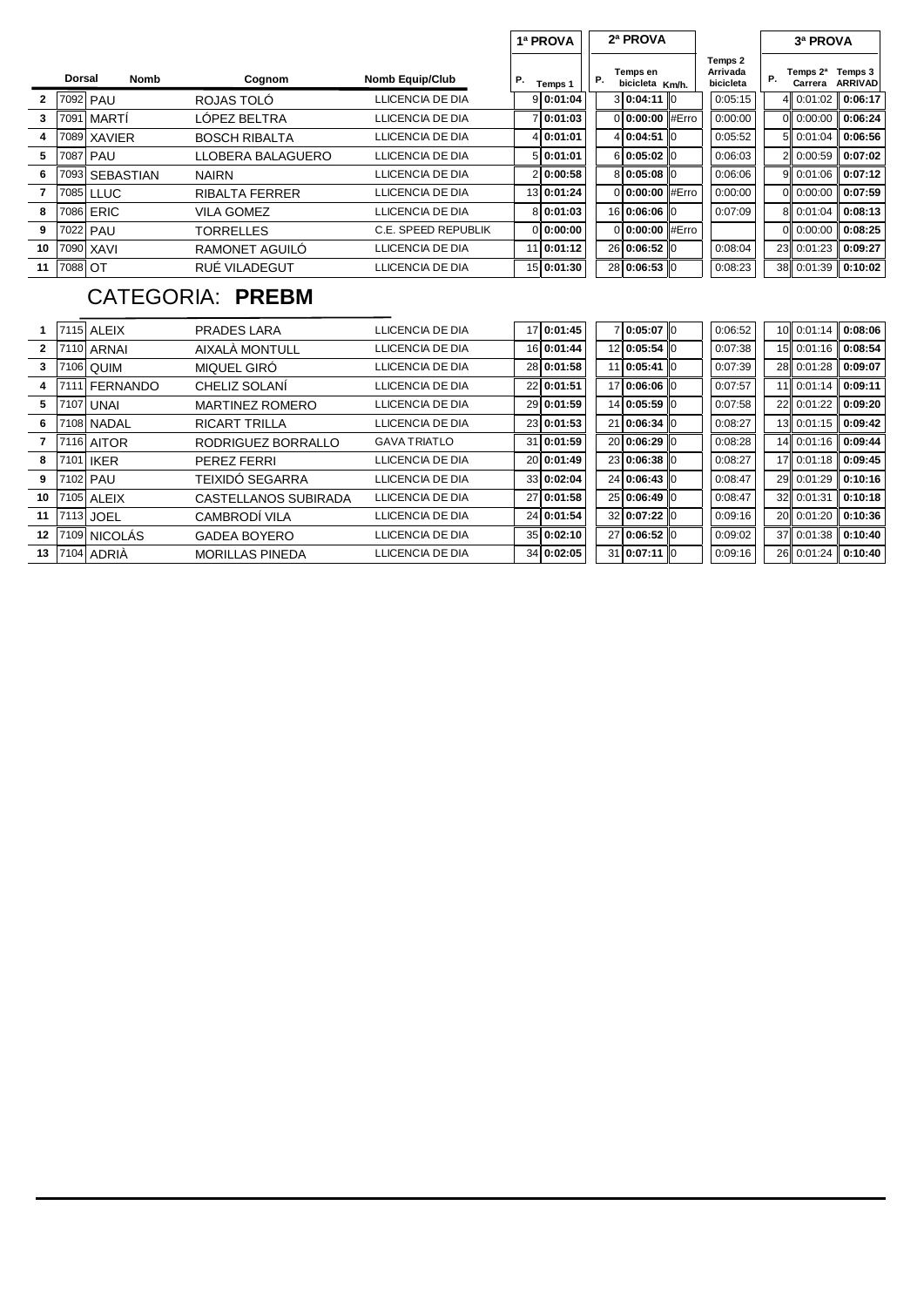|    |               |                  |                       |                            |    | 1ª PROVA     | 2ª PROVA |                             |  |                                  | 3ª PROVA            |                           |
|----|---------------|------------------|-----------------------|----------------------------|----|--------------|----------|-----------------------------|--|----------------------------------|---------------------|---------------------------|
|    | <b>Dorsal</b> | Nomb             | Cognom                | <b>Nomb Equip/Club</b>     | Р. | Temps 1      | Р.       | Temps en<br>bicicleta Km/h. |  | Temps 2<br>Arrivada<br>bicicleta | Temps 2ª<br>Carrera | Temps 3<br><b>ARRIVAD</b> |
| 2  |               | 7092 PAU         | ROJAS TOLO            | LLICENCIA DE DIA           |    | 9 0:01:04    |          | 3 0:04:11 0                 |  | 0:05:15                          | 4 0:01:02           | 0:06:17                   |
| 3  | 7091          | MARTI            | LÓPEZ BELTRA          | LLICENCIA DE DIA           |    | 7 0:01:03    |          | 0:00:00 #Erro               |  | 0:00:00                          | 0 0:00:00           | 0:06:24                   |
| 4  | 7089          | <b>XAVIER</b>    | <b>BOSCH RIBALTA</b>  | LLICENCIA DE DIA           |    | 4 0:01:01    |          | 4 0:04:51 0                 |  | 0:05:52                          | 5 0:01:04           | 0:06:56                   |
| 5  | 7087          | PAU              | LLOBERA BALAGUERO     | LLICENCIA DE DIA           |    | 5 0:01:01    |          | 6 0:05:02 0                 |  | 0:06:03                          | 2 0:00:59           | 0:07:02                   |
| 6  | 7093          | <b>SEBASTIAN</b> | <b>NAIRN</b>          | LLICENCIA DE DIA           |    | 2 0:00:58    |          | 8 0:05:08 0                 |  | 0:06:06                          | 9 0:01:06           | $\parallel$ 0:07:12       |
|    |               | 7085 LLUC        | <b>RIBALTA FERRER</b> | LLICENCIA DE DIA           |    | 13 0:01:24   |          | 0:00:00 #Erro               |  | 0:00:00                          | 0 0:00:00           | 0:07:59                   |
| 8  | 7086          | ERIC             | <b>VILA GOMEZ</b>     | LLICENCIA DE DIA           |    | 8 0:01:03    |          | 16 0:06:06 0                |  | 0:07:09                          | 8 0:01:04           | 0:08:13                   |
| 9  |               | 7022 PAU         | <b>TORRELLES</b>      | <b>C.E. SPEED REPUBLIK</b> |    | 0 0:00:00    |          | 0 <b>0:00:00</b> #Erro      |  |                                  | 0.00:00             | 0:08:25                   |
| 10 | 7090          | XAVI             | RAMONET AGUILO        | LLICENCIA DE DIA           |    | $11$ 0:01:12 |          | 26 0:06:52 0                |  | 0:08:04                          | 23 0:01:23          | 0:09:27                   |
| 11 | 7088 OT       |                  | RUÉ VILADEGUT         | LLICENCIA DE DIA           |    | 15 0:01:30   |          | 28 0:06:53 0                |  | 0:08:23                          | 38 0:01:39          | 0:10:02                   |
|    |               |                  |                       |                            |    |              |          |                             |  |                                  |                     |                           |

# CATEGORIA: **PREBM**

|    |      | <b>7115 ALEIX</b> | PRADES LARA                 | LLICENCIA DE DIA    | 17 0:01:45 | 7 0:05:07 0  | 0:06:52 | 10 0:01:14               | 0:08:06 |
|----|------|-------------------|-----------------------------|---------------------|------------|--------------|---------|--------------------------|---------|
| 2  |      | 7110 ARNAI        | AIXALA MONTULL              | LLICENCIA DE DIA    | 16 0:01:44 | 12 0:05:54 0 | 0:07:38 | 15 0:01:16               | 0:08:54 |
| 3  |      | 7106 QUIM         | MIQUEL GIRO                 | LLICENCIA DE DIA    | 28 0:01:58 | 11 0:05:41 0 | 0:07:39 | 28 0:01:28               | 0:09:07 |
| 4  | 7111 | <b>FERNANDO</b>   | CHELIZ SOLANI               | LLICENCIA DE DIA    | 22 0:01:51 | 17 0:06:06 0 | 0:07:57 | $11$   0:01:14   0:09:11 |         |
| 5  | 7107 | UNAI              | <b>MARTINEZ ROMERO</b>      | LLICENCIA DE DIA    | 29 0:01:59 | 14 0:05:59 0 | 0:07:58 | 22 0:01:22               | 0:09:20 |
| 6  |      | 7108 NADAL        | <b>RICART TRILLA</b>        | LLICENCIA DE DIA    | 23 0:01:53 | 21 0:06:34 0 | 0:08:27 | 13 0:01:15               | 0:09:42 |
|    |      | 7116 AITOR        | RODRIGUEZ BORRALLO          | <b>GAVA TRIATLO</b> | 31 0:01:59 | 20 0:06:29 0 | 0:08:28 | 14 0:01:16               | 0:09:44 |
| 8  |      | 7101 IKER         | PEREZ FERRI                 | LLICENCIA DE DIA    | 20 0:01:49 | 23 0:06:38 0 | 0:08:27 | 17 0:01:18               | 0:09:45 |
| 9  |      | 7102 PAU          | TEIXIDÓ SEGARRA             | LLICENCIA DE DIA    | 33 0:02:04 | 24 0:06:43 0 | 0:08:47 | 29 0:01:29               | 0:10:16 |
| 10 |      | 7105 ALEIX        | <b>CASTELLANOS SUBIRADA</b> | LLICENCIA DE DIA    | 27 0:01:58 | 25 0:06:49 0 | 0:08:47 | 32 0:01:31               | 0:10:18 |
| 11 |      | 7113 JOEL         | CAMBRODI VILA               | LLICENCIA DE DIA    | 24 0:01:54 | 32 0:07:22 0 | 0:09:16 | 20 0:01:20               | 0:10:36 |
| 12 | 7109 | <b>NICOLÁS</b>    | <b>GADEA BOYERO</b>         | LLICENCIA DE DIA    | 35 0:02:10 | 27 0:06:52 0 | 0:09:02 | 37 0:01:38               | 0:10:40 |
| 13 |      | 7104 ADRIA        | <b>MORILLAS PINEDA</b>      | LLICENCIA DE DIA    | 34 0:02:05 | 31 0:07:11 0 | 0:09:16 | 26 0:01:24               | 0:10:40 |
|    |      |                   |                             |                     |            |              |         |                          |         |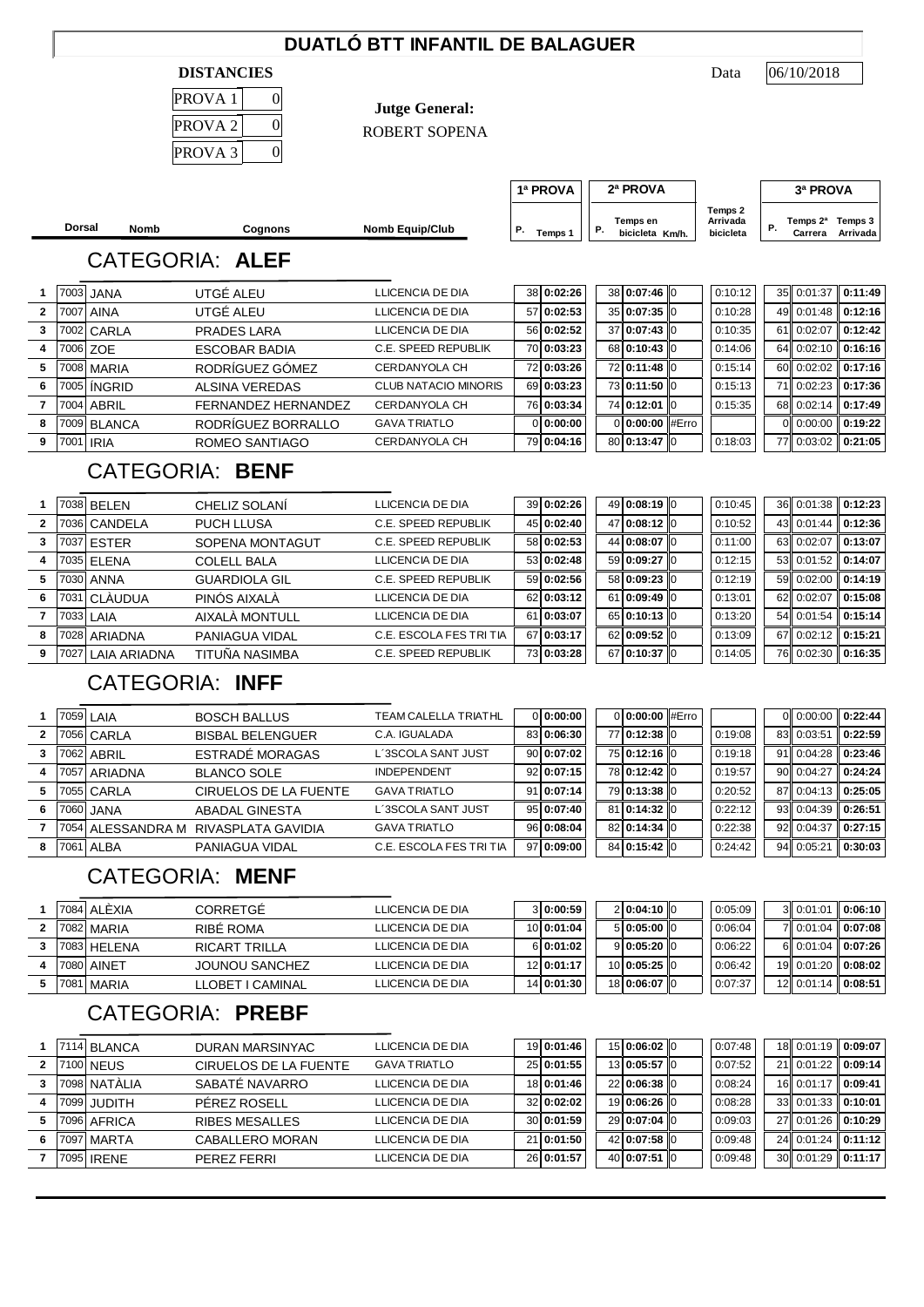### **DUATLÓ BTT INFANTIL DE BALAGUER**

#### **DISTANCIES** Data

| PROVA 1            |   |
|--------------------|---|
| PROVA <sub>2</sub> | C |
| PROVA <sub>3</sub> |   |

**Jutge General:**

ROBERT SOPENA

06/10/2018

**Dorsal Nomb Cognons Nomb Equip/Club P**. Temps en **Reserves Nomb Equip/Club P**. Temps en **P**. bicicleta  $T_{\text{emps 1}}$   $\begin{vmatrix} P. & \text{bicicleta} & \text{Km/h} \end{vmatrix}$  bicicleta  $\begin{vmatrix} P. & \text{bicicleta} \end{vmatrix}$ **Temps 3 Km/h. Arrivada P. Temps 2ª Carrera 1ª PROVA 2ª PROVA 3ª PROVA Temps 2 Arrivada bicicleta** CATEGORIA: **ALEF** 7003 JANA UTGÉ ALEU LLICENCIA DE DIA 38 **0:02:26** 38 **0:07:46** 0 0:10:12 35 0:01:37 **0:11:49** 7007 AINA UTGÉ ALEU LLICENCIA DE DIA 57 **0:02:53** 35 **0:07:35** 0 0:10:28 49 0:01:48 **0:12:16** 7002 CARLA PRADES LARA LLICENCIA DE DIA 56 **0:02:52** 37 **0:07:43** 0 0:10:35 61 0:02:07 **0:12:42** 7006 ZOE ESCOBAR BADIA C.E. SPEED REPUBLIK 70 **0:03:23** 68 **0:10:43** 0 0:14:06 64 0:02:10 **0:16:16** 7008 MARIA RODRÍGUEZ GÓMEZ CERDANYOLA CH 72 **0:03:26** 72 **0:11:48** 0 0:15:14 60 0:02:02 **0:17:16** 7005 ÍNGRID ALSINA VEREDAS CLUB NATACIO MINORIS 69 **0:03:23** 73 **0:11:50** 0 0:15:13 71 0:02:23 **0:17:36** 7004 ABRIL FERNANDEZ HERNANDEZ CERDANYOLA CH 76 **0:03:34** 74 **0:12:01** 0 0:15:35 68 0:02:14 **0:17:49** 7009 BLANCA RODRÍGUEZ BORRALLO GAVA TRIATLO 0 **0:00:00** 0 **0:00:00** #Erro 0 0:00:00 **0:19:22** 7001 IRIA ROMEO SANTIAGO CERDANYOLA CH 79 **0:04:16** 80 **0:13:47** 0 0:18:03 77 0:03:02 **0:21:05** CATEGORIA: **BENF** 7038 BELEN CHELIZ SOLANÍ LLICENCIA DE DIA 39 **0:02:26** 49 **0:08:19** 0 0:10:45 36 0:01:38 **0:12:23** 7036 CANDELA PUCH LLUSA C.E. SPEED REPUBLIK 45 **0:02:40** 47 **0:08:12** 0 0:10:52 43 0:01:44 **0:12:36** 7037 ESTER SOPENA MONTAGUT C.E. SPEED REPUBLIK 58 **0:02:53** 44 **0:08:07** 0 0:11:00 63 0:02:07 **0:13:07** 7035 ELENA COLELL BALA LLICENCIA DE DIA 53 **0:02:48** 59 **0:09:27** 0 0:12:15 53 0:01:52 **0:14:07** 7030 ANNA GUARDIOLA GIL C.E. SPEED REPUBLIK 59 **0:02:56** 58 **0:09:23** 0 0:12:19 59 0:02:00 **0:14:19** 7031 CLÀUDUA PINÓS AIXALÀ LLICENCIA DE DIA 62 **0:03:12** 61 **0:09:49** 0 0:13:01 62 0:02:07 **0:15:08** 7033 LAIA AIXALÀ MONTULL LLICENCIA DE DIA 61 **0:03:07** 65 **0:10:13** 0 0:13:20 54 0:01:54 **0:15:14** 7028 ARIADNA PANIAGUA VIDAL C.E. ESCOLA FES TRI TIA 67 **0:03:17** 62 **0:09:52** 0 0:13:09 67 0:02:12 **0:15:21** 7027 LAIA ARIADNA TITUÑA NASIMBA C.E. SPEED REPUBLIK 73 **0:03:28** 67 **0:10:37** 0 0:14:05 76 0:02:30 **0:16:35** CATEGORIA: **INFF** 1 7059 LAIA BOSCH BALLUS TEAM CALELLA TRIATHL 0 0:00:00 0:00:00 #Erro 0 0:00:00 0:022:44 7056 CARLA BISBAL BELENGUER C.A. IGUALADA 83 **0:06:30** 77 **0:12:38** 0 0:19:08 83 0:03:51 **0:22:59** 7062 ABRIL ESTRADÉ MORAGAS L´3SCOLA SANT JUST 90 **0:07:02** 75 **0:12:16** 0 0:19:18 91 0:04:28 **0:23:46** 7057 ARIADNA BLANCO SOLE INDEPENDENT 92 **0:07:15** 78 **0:12:42** 0 0:19:57 90 0:04:27 **0:24:24** 7055 CARLA CIRUELOS DE LA FUENTE GAVA TRIATLO 91 **0:07:14** 79 **0:13:38** 0 0:20:52 87 0:04:13 **0:25:05** 7060 JANA ABADAL GINESTA L´3SCOLA SANT JUST 95 **0:07:40** 81 **0:14:32** 0 0:22:12 93 0:04:39 **0:26:51** 7054 ALESSANDRA M RIVASPLATA GAVIDIA GAVA TRIATLO 96 **0:08:04** 82 **0:14:34** 0 0:22:38 92 0:04:37 **0:27:15** 7061 ALBA PANIAGUA VIDAL C.E. ESCOLA FES TRI TIA 97 **0:09:00** 84 **0:15:42** 0 0:24:42 94 0:05:21 **0:30:03** CATEGORIA: **MENF**

|  | 7084 ALÈXIA  | CORRETGE              | LLICENCIA DE DIA | 3 0:00:59  | 2 0:04:10 0  | 0:05:09 | 300:01:0100                 |                   |
|--|--------------|-----------------------|------------------|------------|--------------|---------|-----------------------------|-------------------|
|  | 7082 MARIA   | RIBE ROMA             | LLICENCIA DE DIA | 10 0:01:04 | 5 0:05:00 0  | 0:06:04 |                             | 7 0:01:04 0:07:08 |
|  | 7083 HFI FNA | RICART TRILLA         | LLICENCIA DE DIA | 6 0:01:02  | 9 0:05:20 0  | 0:06:22 | 6 0:01:04 0:07:26           |                   |
|  | 7080 AINET   | <b>JOUNOU SANCHEZ</b> | LLICENCIA DE DIA | 12 0:01:17 | 10 0:05:25 0 | 0:06:42 | 19 0:01:20 0:08:02          |                   |
|  | 7081 MARIA   | LLOBET I CAMINAL      | LLICENCIA DE DIA | 14 0:01:30 | 18 0:06:07 0 | 0:07:37 | $12$ 0:01:14 <b>0:08:51</b> |                   |

## CATEGORIA: **PREBF**

|   | 7114 BLANCA  | DURAN MARSINYAC       | LLICENCIA DE DIA    | 19 0:01:46 | 15 0:06:02 0 | 0:07:48 | 18 0:01:19 0:09:07   |         |
|---|--------------|-----------------------|---------------------|------------|--------------|---------|----------------------|---------|
|   | 7100 NEUS    | CIRUELOS DE LA FUENTE | <b>GAVA TRIATLO</b> | 25 0:01:55 | 13 0:05:57 0 | 0:07:52 | 21 0:01:22           | 0:09:14 |
|   | 7098 NATALIA | SABATÉ NAVARRO        | LLICENCIA DE DIA    | 18 0:01:46 | 2210:06:3810 | 0:08:24 | 16 0:01:17           | 0:09:41 |
|   | 7099 JUDITH  | PFREZ ROSELL          | LLICENCIA DE DIA    | 32 0:02:02 | 19 0:06:26 0 | 0:08:28 | $33$ 0:01:33 0:10:01 |         |
|   | 7096 AFRICA  | <b>RIBES MESALLES</b> | LLICENCIA DE DIA    | 30 0:01:59 | 29 0:07:04 0 | 0:09:03 | 27 0:01:26           | 0:10:29 |
| 6 | 7097 MARTA   | CABALLERO MORAN       | LLICENCIA DE DIA    | 21 0:01:50 | 42 0:07:58 0 | 0:09:48 | 24 0:01:24           | 0:11:12 |
|   | 17095 IRENE  | PFRF7 FFRRI           | LLICENCIA DE DIA    | 26 0:01:57 | 40 0:07:51 0 | 0:09:48 | 30 0:01:29           | 0:11:17 |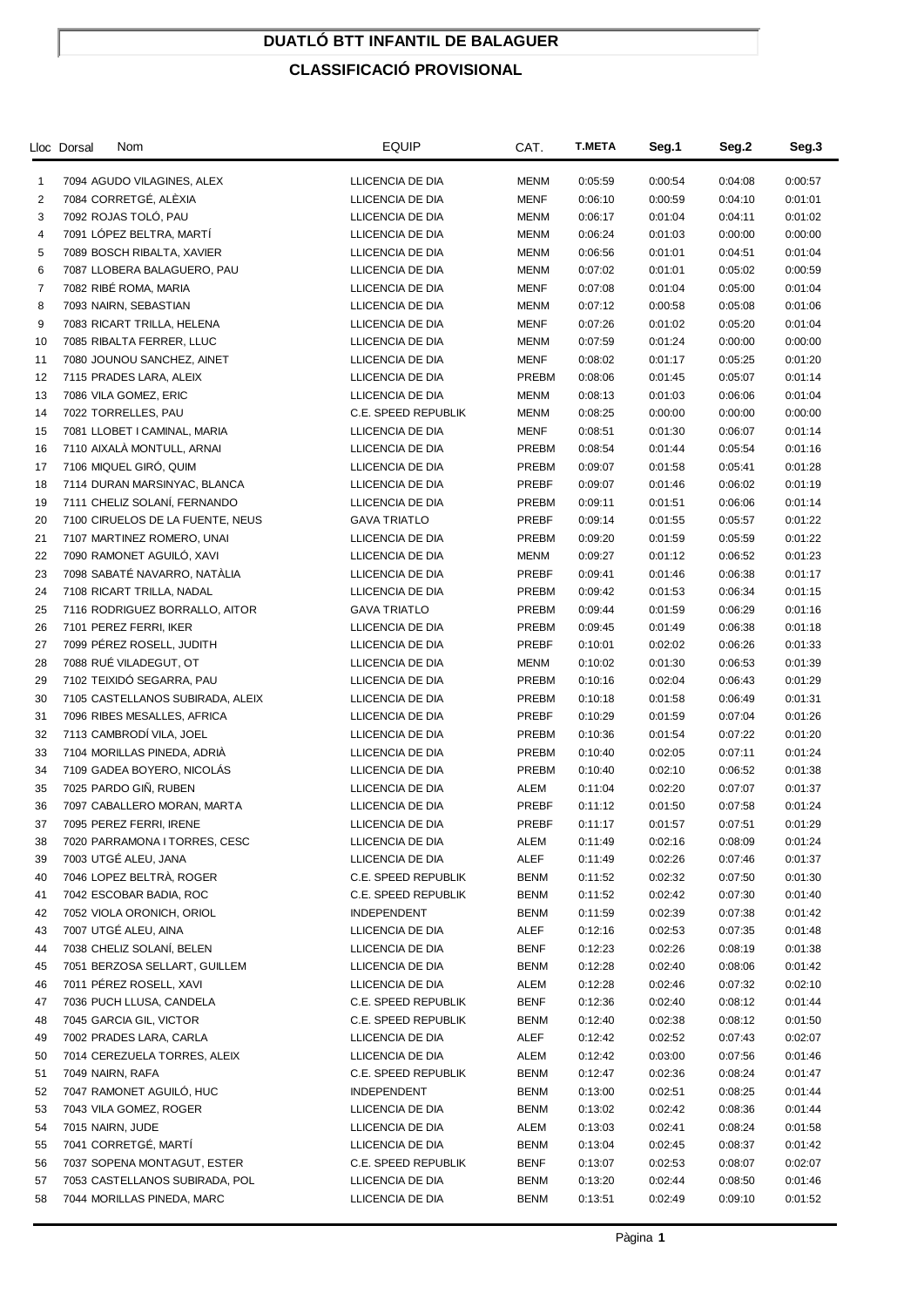## **DUATLÓ BTT INFANTIL DE BALAGUER**

### **CLASSIFICACIÓ PROVISIONAL**

|                | Lloc Dorsal<br>Nom                                  | <b>EQUIP</b>                            | CAT.                       | <b>T.META</b> | Seg.1   | Seg.2   | Seg.3   |
|----------------|-----------------------------------------------------|-----------------------------------------|----------------------------|---------------|---------|---------|---------|
| $\mathbf{1}$   | 7094 AGUDO VILAGINES, ALEX                          | LLICENCIA DE DIA                        | <b>MENM</b>                | 0:05:59       | 0:00:54 | 0:04:08 | 0:00:57 |
| 2              | 7084 CORRETGÉ, ALÉXIA                               | LLICENCIA DE DIA                        | <b>MENF</b>                | 0:06:10       | 0:00:59 | 0:04:10 | 0:01:01 |
| 3              | 7092 ROJAS TOLÓ, PAU                                | LLICENCIA DE DIA                        | <b>MENM</b>                | 0:06:17       | 0:01:04 | 0:04:11 | 0:01:02 |
| 4              | 7091 LÓPEZ BELTRA, MARTÍ                            | LLICENCIA DE DIA                        | MENM                       | 0:06:24       | 0:01:03 | 0:00:00 | 0:00:00 |
| 5              | 7089 BOSCH RIBALTA, XAVIER                          | LLICENCIA DE DIA                        | <b>MENM</b>                | 0:06:56       | 0:01:01 | 0:04:51 | 0:01:04 |
| 6              | 7087 LLOBERA BALAGUERO, PAU                         | LLICENCIA DE DIA                        | MENM                       | 0:07:02       | 0:01:01 | 0:05:02 | 0:00:59 |
| $\overline{7}$ | 7082 RIBÉ ROMA, MARIA                               | LLICENCIA DE DIA                        | <b>MENF</b>                | 0:07:08       | 0:01:04 | 0:05:00 | 0:01:04 |
| 8              | 7093 NAIRN, SEBASTIAN                               | LLICENCIA DE DIA                        | <b>MENM</b>                | 0:07:12       | 0:00:58 | 0:05:08 | 0:01:06 |
| 9              | 7083 RICART TRILLA, HELENA                          | LLICENCIA DE DIA                        | <b>MENF</b>                | 0:07:26       | 0:01:02 | 0:05:20 | 0:01:04 |
| 10             | 7085 RIBALTA FERRER, LLUC                           | LLICENCIA DE DIA                        | <b>MENM</b>                | 0:07:59       | 0:01:24 | 0:00:00 | 0:00:00 |
| 11             | 7080 JOUNOU SANCHEZ, AINET                          | LLICENCIA DE DIA                        | <b>MENF</b>                | 0:08:02       | 0:01:17 | 0:05:25 | 0:01:20 |
| 12             | 7115 PRADES LARA, ALEIX                             | LLICENCIA DE DIA                        | PREBM                      | 0:08:06       | 0:01:45 | 0:05:07 | 0:01:14 |
| 13             | 7086 VILA GOMEZ, ERIC                               | LLICENCIA DE DIA                        | <b>MENM</b>                | 0:08:13       | 0:01:03 | 0:06:06 | 0:01:04 |
| 14             | 7022 TORRELLES, PAU                                 | C.E. SPEED REPUBLIK                     | <b>MENM</b>                | 0:08:25       | 0:00:00 | 0:00:00 | 0:00:00 |
| 15             | 7081 LLOBET I CAMINAL, MARIA                        | LLICENCIA DE DIA                        | <b>MENF</b>                | 0:08:51       | 0:01:30 | 0:06:07 | 0:01:14 |
| 16             | 7110 AIXALÀ MONTULL, ARNAI                          | LLICENCIA DE DIA                        | PREBM                      | 0:08:54       | 0:01:44 | 0:05:54 | 0:01:16 |
| 17             | 7106 MIQUEL GIRÓ, QUIM                              | LLICENCIA DE DIA                        | PREBM                      | 0:09:07       | 0:01:58 | 0:05:41 | 0:01:28 |
| 18             | 7114 DURAN MARSINYAC, BLANCA                        | LLICENCIA DE DIA                        | PREBF                      | 0:09:07       | 0:01:46 | 0:06:02 | 0:01:19 |
| 19             | 7111 CHELIZ SOLANÍ, FERNANDO                        | LLICENCIA DE DIA                        | PREBM                      | 0:09:11       | 0:01:51 | 0:06:06 | 0:01:14 |
| 20             | 7100 CIRUELOS DE LA FUENTE, NEUS                    | <b>GAVA TRIATLO</b>                     | PREBF                      | 0:09:14       | 0:01:55 | 0:05:57 | 0:01:22 |
| 21             | 7107 MARTINEZ ROMERO, UNAI                          | LLICENCIA DE DIA                        | PREBM                      | 0:09:20       | 0:01:59 | 0:05:59 | 0:01:22 |
| 22             | 7090 RAMONET AGUILÓ, XAVI                           | LLICENCIA DE DIA                        | MENM                       | 0:09:27       | 0:01:12 | 0:06:52 | 0:01:23 |
| 23             | 7098 SABATÉ NAVARRO, NATÀLIA                        | LLICENCIA DE DIA                        | PREBF                      | 0:09:41       | 0:01:46 | 0:06:38 | 0:01:17 |
| 24             | 7108 RICART TRILLA, NADAL                           | LLICENCIA DE DIA                        | PREBM                      | 0:09:42       | 0:01:53 | 0:06:34 | 0:01:15 |
| 25             | 7116 RODRIGUEZ BORRALLO, AITOR                      | <b>GAVA TRIATLO</b>                     | PREBM                      | 0:09:44       | 0:01:59 | 0:06:29 | 0:01:16 |
| 26             | 7101 PEREZ FERRI, IKER                              | LLICENCIA DE DIA                        | PREBM                      | 0:09:45       | 0:01:49 | 0:06:38 | 0:01:18 |
| 27             | 7099 PÉREZ ROSELL, JUDITH                           | LLICENCIA DE DIA                        | PREBF                      | 0:10:01       | 0:02:02 | 0:06:26 | 0:01:33 |
| 28             | 7088 RUÉ VILADEGUT, OT                              | LLICENCIA DE DIA                        | MENM                       | 0:10:02       | 0:01:30 | 0:06:53 | 0:01:39 |
| 29             | 7102 TEIXIDÓ SEGARRA, PAU                           | LLICENCIA DE DIA                        | PREBM                      | 0:10:16       | 0:02:04 | 0:06:43 | 0:01:29 |
| 30             | 7105 CASTELLANOS SUBIRADA, ALEIX                    | LLICENCIA DE DIA                        | PREBM                      | 0:10:18       | 0:01:58 | 0:06:49 | 0:01:31 |
| 31             | 7096 RIBES MESALLES, AFRICA                         | LLICENCIA DE DIA                        | PREBF                      | 0:10:29       | 0:01:59 | 0:07:04 | 0:01:26 |
| 32             | 7113 CAMBRODI VILA, JOEL                            | LLICENCIA DE DIA                        | PREBM                      | 0:10:36       | 0:01:54 | 0:07:22 | 0:01:20 |
| 33             | 7104 MORILLAS PINEDA, ADRIA                         | LLICENCIA DE DIA                        | PREBM                      | 0:10:40       | 0:02:05 | 0:07:11 | 0:01:24 |
| 34             | 7109 GADEA BOYERO, NICOLÁS                          | LLICENCIA DE DIA                        | PREBM                      | 0:10:40       | 0:02:10 | 0:06:52 | 0:01:38 |
| 35             | 7025 PARDO GIÑ, RUBEN                               | LLICENCIA DE DIA                        | ALEM                       | 0:11:04       | 0:02:20 | 0:07:07 | 0:01:37 |
| 36             | 7097 CABALLERO MORAN, MARTA                         | LLICENCIA DE DIA                        | PREBF                      | 0:11:12       | 0:01:50 | 0:07:58 | 0:01:24 |
| 37             | 7095 PEREZ FERRI, IRENE                             | LLICENCIA DE DIA                        | PREBF                      | 0:11:17       | 0:01:57 | 0:07:51 | 0:01:29 |
| 38             | 7020 PARRAMONA I TORRES, CESC                       | LLICENCIA DE DIA                        | ALEM                       | 0:11:49       | 0:02:16 | 0:08:09 | 0:01:24 |
| 39             | 7003 UTGÉ ALEU, JANA                                | LLICENCIA DE DIA                        | ALEF                       | 0:11:49       | 0:02:26 | 0:07:46 | 0:01:37 |
| 40             | 7046 LOPEZ BELTRÀ, ROGER                            | C.E. SPEED REPUBLIK                     | <b>BENM</b>                | 0:11:52       | 0:02:32 | 0:07:50 | 0:01:30 |
| 41             | 7042 ESCOBAR BADIA, ROC                             | C.E. SPEED REPUBLIK                     | <b>BENM</b>                | 0:11:52       | 0:02:42 | 0:07:30 | 0:01:40 |
| 42             | 7052 VIOLA ORONICH, ORIOL<br>7007 UTGÉ ALEU, AINA   | <b>INDEPENDENT</b><br>LLICENCIA DE DIA  | <b>BENM</b>                | 0:11:59       | 0:02:39 | 0:07:38 | 0:01:42 |
| 43             | 7038 CHELIZ SOLANÍ, BELEN                           |                                         | ALEF                       | 0:12:16       | 0:02:53 | 0:07:35 | 0:01:48 |
| 44             | 7051 BERZOSA SELLART, GUILLEM                       | LLICENCIA DE DIA                        | <b>BENF</b>                | 0:12:23       | 0:02:26 | 0:08:19 | 0:01:38 |
| 45             | 7011 PÉREZ ROSELL, XAVI                             | LLICENCIA DE DIA                        | <b>BENM</b>                | 0:12:28       | 0:02:40 | 0:08:06 | 0:01:42 |
| 46             |                                                     | LLICENCIA DE DIA<br>C.E. SPEED REPUBLIK | ALEM                       | 0:12:28       | 0:02:46 | 0:07:32 | 0:02:10 |
| 47             | 7036 PUCH LLUSA, CANDELA                            |                                         | <b>BENF</b>                | 0:12:36       | 0:02:40 | 0:08:12 | 0:01:44 |
| 48             | 7045 GARCIA GIL, VICTOR                             | C.E. SPEED REPUBLIK                     | <b>BENM</b>                | 0:12:40       | 0:02:38 | 0:08:12 | 0:01:50 |
| 49             | 7002 PRADES LARA, CARLA                             | LLICENCIA DE DIA                        | ALEF                       | 0:12:42       | 0:02:52 | 0:07:43 | 0:02:07 |
| 50             | 7014 CEREZUELA TORRES, ALEIX                        | LLICENCIA DE DIA                        | ALEM<br><b>BENM</b>        | 0:12:42       | 0:03:00 | 0:07:56 | 0:01:46 |
| 51             | 7049 NAIRN, RAFA<br>7047 RAMONET AGUILÓ, HUC        | C.E. SPEED REPUBLIK                     |                            | 0:12:47       | 0:02:36 | 0:08:24 | 0:01:47 |
| 52             |                                                     | <b>INDEPENDENT</b>                      | <b>BENM</b>                | 0:13:00       | 0:02:51 | 0:08:25 | 0:01:44 |
| 53             | 7043 VILA GOMEZ, ROGER                              | LLICENCIA DE DIA                        | <b>BENM</b>                | 0:13:02       | 0:02:42 | 0:08:36 | 0:01:44 |
| 54             | 7015 NAIRN, JUDE                                    | LLICENCIA DE DIA                        | ALEM                       | 0:13:03       | 0:02:41 | 0:08:24 | 0:01:58 |
| 55             | 7041 CORRETGÉ, MARTI<br>7037 SOPENA MONTAGUT, ESTER | LLICENCIA DE DIA                        | <b>BENM</b><br><b>BENF</b> | 0:13:04       | 0:02:45 | 0:08:37 | 0:01:42 |
| 56             |                                                     | C.E. SPEED REPUBLIK                     |                            | 0:13:07       | 0:02:53 | 0:08:07 | 0:02:07 |
| 57             | 7053 CASTELLANOS SUBIRADA, POL                      | LLICENCIA DE DIA                        | <b>BENM</b>                | 0:13:20       | 0:02:44 | 0:08:50 | 0:01:46 |
| 58             | 7044 MORILLAS PINEDA, MARC                          | LLICENCIA DE DIA                        | <b>BENM</b>                | 0:13:51       | 0:02:49 | 0:09:10 | 0:01:52 |